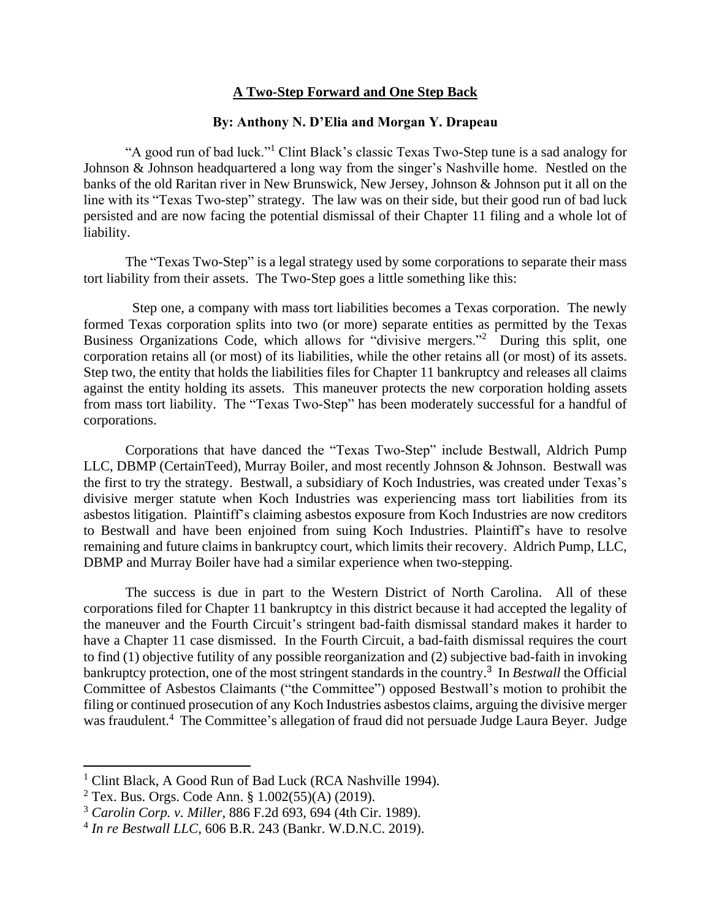## **A Two-Step Forward and One Step Back**

## **By: Anthony N. D'Elia and Morgan Y. Drapeau**

"A good run of bad luck."<sup>1</sup> Clint Black's classic Texas Two-Step tune is a sad analogy for Johnson & Johnson headquartered a long way from the singer's Nashville home. Nestled on the banks of the old Raritan river in New Brunswick, New Jersey, Johnson & Johnson put it all on the line with its "Texas Two-step" strategy. The law was on their side, but their good run of bad luck persisted and are now facing the potential dismissal of their Chapter 11 filing and a whole lot of liability.

The "Texas Two-Step" is a legal strategy used by some corporations to separate their mass tort liability from their assets. The Two-Step goes a little something like this:

Step one, a company with mass tort liabilities becomes a Texas corporation. The newly formed Texas corporation splits into two (or more) separate entities as permitted by the Texas Business Organizations Code, which allows for "divisive mergers."<sup>2</sup> During this split, one corporation retains all (or most) of its liabilities, while the other retains all (or most) of its assets. Step two, the entity that holds the liabilities files for Chapter 11 bankruptcy and releases all claims against the entity holding its assets. This maneuver protects the new corporation holding assets from mass tort liability. The "Texas Two-Step" has been moderately successful for a handful of corporations.

Corporations that have danced the "Texas Two-Step" include Bestwall, Aldrich Pump LLC, DBMP (CertainTeed), Murray Boiler, and most recently Johnson & Johnson. Bestwall was the first to try the strategy. Bestwall, a subsidiary of Koch Industries, was created under Texas's divisive merger statute when Koch Industries was experiencing mass tort liabilities from its asbestos litigation. Plaintiff's claiming asbestos exposure from Koch Industries are now creditors to Bestwall and have been enjoined from suing Koch Industries. Plaintiff's have to resolve remaining and future claims in bankruptcy court, which limits their recovery. Aldrich Pump, LLC, DBMP and Murray Boiler have had a similar experience when two-stepping.

The success is due in part to the Western District of North Carolina. All of these corporations filed for Chapter 11 bankruptcy in this district because it had accepted the legality of the maneuver and the Fourth Circuit's stringent bad-faith dismissal standard makes it harder to have a Chapter 11 case dismissed. In the Fourth Circuit, a bad-faith dismissal requires the court to find (1) objective futility of any possible reorganization and (2) subjective bad-faith in invoking bankruptcy protection, one of the most stringent standards in the country. 3 In *Bestwall* the Official Committee of Asbestos Claimants ("the Committee") opposed Bestwall's motion to prohibit the filing or continued prosecution of any Koch Industries asbestos claims, arguing the divisive merger was fraudulent.<sup>4</sup> The Committee's allegation of fraud did not persuade Judge Laura Beyer. Judge

<sup>&</sup>lt;sup>1</sup> Clint Black, A Good Run of Bad Luck (RCA Nashville 1994).

<sup>&</sup>lt;sup>2</sup> Tex. Bus. Orgs. Code Ann. §  $1.002(55)(A)$  (2019).

<sup>3</sup> *Carolin Corp. v. Miller*, 886 F.2d 693, 694 (4th Cir. 1989).

<sup>4</sup> *In re Bestwall LLC*, 606 B.R. 243 (Bankr. W.D.N.C. 2019).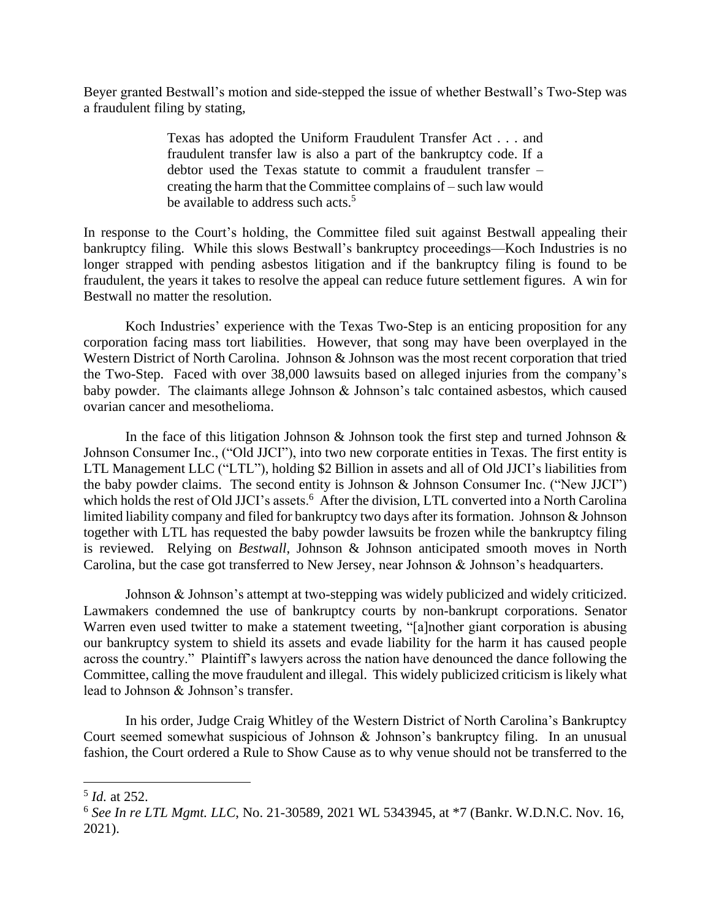Beyer granted Bestwall's motion and side-stepped the issue of whether Bestwall's Two-Step was a fraudulent filing by stating,

> Texas has adopted the Uniform Fraudulent Transfer Act . . . and fraudulent transfer law is also a part of the bankruptcy code. If a debtor used the Texas statute to commit a fraudulent transfer – creating the harm that the Committee complains of – such law would be available to address such acts.<sup>5</sup>

In response to the Court's holding, the Committee filed suit against Bestwall appealing their bankruptcy filing. While this slows Bestwall's bankruptcy proceedings—Koch Industries is no longer strapped with pending asbestos litigation and if the bankruptcy filing is found to be fraudulent, the years it takes to resolve the appeal can reduce future settlement figures. A win for Bestwall no matter the resolution.

Koch Industries' experience with the Texas Two-Step is an enticing proposition for any corporation facing mass tort liabilities. However, that song may have been overplayed in the Western District of North Carolina. Johnson & Johnson was the most recent corporation that tried the Two-Step. Faced with over 38,000 lawsuits based on alleged injuries from the company's baby powder. The claimants allege Johnson & Johnson's talc contained asbestos, which caused ovarian cancer and mesothelioma.

In the face of this litigation Johnson  $\&$  Johnson took the first step and turned Johnson  $\&$ Johnson Consumer Inc., ("Old JJCI"), into two new corporate entities in Texas. The first entity is LTL Management LLC ("LTL"), holding \$2 Billion in assets and all of Old JJCI's liabilities from the baby powder claims. The second entity is Johnson & Johnson Consumer Inc. ("New JJCI") which holds the rest of Old JJCI's assets.<sup>6</sup> After the division, LTL converted into a North Carolina limited liability company and filed for bankruptcy two days after its formation. Johnson & Johnson together with LTL has requested the baby powder lawsuits be frozen while the bankruptcy filing is reviewed. Relying on *Bestwall*, Johnson & Johnson anticipated smooth moves in North Carolina, but the case got transferred to New Jersey, near Johnson & Johnson's headquarters.

Johnson & Johnson's attempt at two-stepping was widely publicized and widely criticized. Lawmakers condemned the use of bankruptcy courts by non-bankrupt corporations. Senator Warren even used twitter to make a statement tweeting, "[a]nother giant corporation is abusing our bankruptcy system to shield its assets and evade liability for the harm it has caused people across the country." Plaintiff's lawyers across the nation have denounced the dance following the Committee, calling the move fraudulent and illegal. This widely publicized criticism is likely what lead to Johnson & Johnson's transfer.

In his order, Judge Craig Whitley of the Western District of North Carolina's Bankruptcy Court seemed somewhat suspicious of Johnson & Johnson's bankruptcy filing. In an unusual fashion, the Court ordered a Rule to Show Cause as to why venue should not be transferred to the

<sup>5</sup> *Id.* at 252.

<sup>6</sup> *See In re LTL Mgmt. LLC*, No. 21-30589, 2021 WL 5343945, at \*7 (Bankr. W.D.N.C. Nov. 16, 2021).